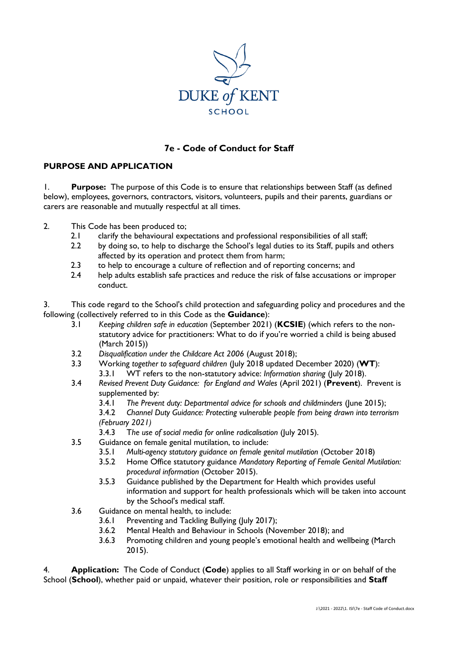

# **7e - Code of Conduct for Staff**

### **PURPOSE AND APPLICATION**

1. **Purpose:** The purpose of this Code is to ensure that relationships between Staff (as defined below), employees, governors, contractors, visitors, volunteers, pupils and their parents, guardians or carers are reasonable and mutually respectful at all times.

- 2. This Code has been produced to;
	- 2.1 clarify the behavioural expectations and professional responsibilities of all staff;
	- 2.2 by doing so, to help to discharge the School's legal duties to its Staff, pupils and others affected by its operation and protect them from harm;
	- 2.3 to help to encourage a culture of reflection and of reporting concerns; and
	- 2.4 help adults establish safe practices and reduce the risk of false accusations or improper conduct.

3. This code regard to the School's child protection and safeguarding policy and procedures and the following (collectively referred to in this Code as the **Guidance**):

- 3.1 *Keeping children safe in education* (September 2021) (**KCSIE**) (which refers to the nonstatutory advice for practitioners: What to do if you're worried a child is being abused (March 2015))
- 3.2 *Disqualification under the Childcare Act 2006* (August 2018);
- 3.3 Working *together to safeguard children* (July 2018 updated December 2020) (**WT**): 3.3.1 WT refers to the non-statutory advice: *Information sharing* (July 2018).
- 3.4 *Revised Prevent Duty Guidance: for England and Wales* (April 2021) (**Prevent**). Prevent is supplemented by:
	- 3.4.1 *The Prevent duty: Departmental advice for schools and childminders* (June 2015);
	- 3.4.2 *Channel Duty Guidance: Protecting vulnerable people from being drawn into terrorism (February 2021)*
	- 3.4.3 T*he use of social media for online radicalisation* (July 2015).
- 3.5 Guidance on female genital mutilation, to include:
	- 3.5.1 *Multi-agency statutory guidance on female genital mutilation* (October 2018)
	- 3.5.2 Home Office statutory guidance *Mandatory Reporting of Female Genital Mutilation: procedural information* (October 2015).
	- 3.5.3 Guidance published by the Department for Health which provides useful information and support for health professionals which will be taken into account by the School's medical staff.
- 3.6 Guidance on mental health, to include:
	- 3.6.1 Preventing and Tackling Bullying (July 2017);
	- 3.6.2 Mental Health and Behaviour in Schools (November 2018); and
	- 3.6.3 Promoting children and young people's emotional health and wellbeing (March 2015).

4. **Application:** The Code of Conduct (**Code**) applies to all Staff working in or on behalf of the School (**School**), whether paid or unpaid, whatever their position, role or responsibilities and **Staff**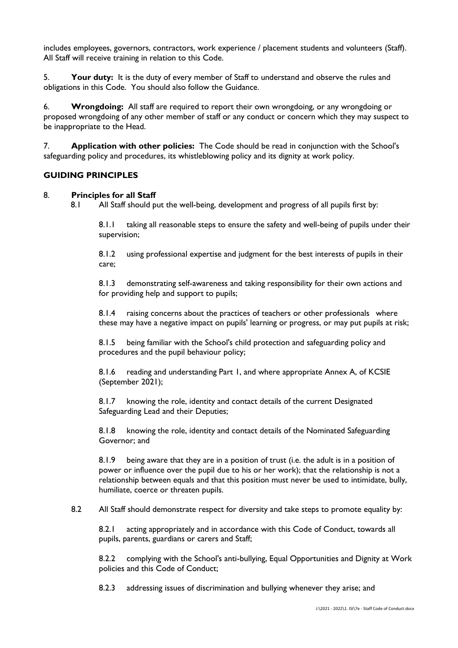includes employees, governors, contractors, work experience / placement students and volunteers (Staff). All Staff will receive training in relation to this Code.

5. **Your duty:** It is the duty of every member of Staff to understand and observe the rules and obligations in this Code. You should also follow the Guidance.

6. **Wrongdoing:** All staff are required to report their own wrongdoing, or any wrongdoing or proposed wrongdoing of any other member of staff or any conduct or concern which they may suspect to be inappropriate to the Head.

7. **Application with other policies:** The Code should be read in conjunction with the School's safeguarding policy and procedures, its whistleblowing policy and its dignity at work policy.

#### **GUIDING PRINCIPLES**

#### 8. **Principles for all Staff**

8.1 All Staff should put the well-being, development and progress of all pupils first by:

8.1.1 taking all reasonable steps to ensure the safety and well-being of pupils under their supervision;

8.1.2 using professional expertise and judgment for the best interests of pupils in their care;

8.1.3 demonstrating self-awareness and taking responsibility for their own actions and for providing help and support to pupils;

8.1.4 raising concerns about the practices of teachers or other professionals where these may have a negative impact on pupils' learning or progress, or may put pupils at risk;

8.1.5 being familiar with the School's child protection and safeguarding policy and procedures and the pupil behaviour policy;

8.1.6 reading and understanding Part 1, and where appropriate Annex A, of KCSIE (September 2021);

8.1.7 knowing the role, identity and contact details of the current Designated Safeguarding Lead and their Deputies;

8.1.8 knowing the role, identity and contact details of the Nominated Safeguarding Governor; and

8.1.9 being aware that they are in a position of trust (i.e. the adult is in a position of power or influence over the pupil due to his or her work); that the relationship is not a relationship between equals and that this position must never be used to intimidate, bully, humiliate, coerce or threaten pupils.

8.2 All Staff should demonstrate respect for diversity and take steps to promote equality by:

8.2.1 acting appropriately and in accordance with this Code of Conduct, towards all pupils, parents, guardians or carers and Staff;

8.2.2 complying with the School's anti-bullying, Equal Opportunities and Dignity at Work policies and this Code of Conduct;

8.2.3 addressing issues of discrimination and bullying whenever they arise; and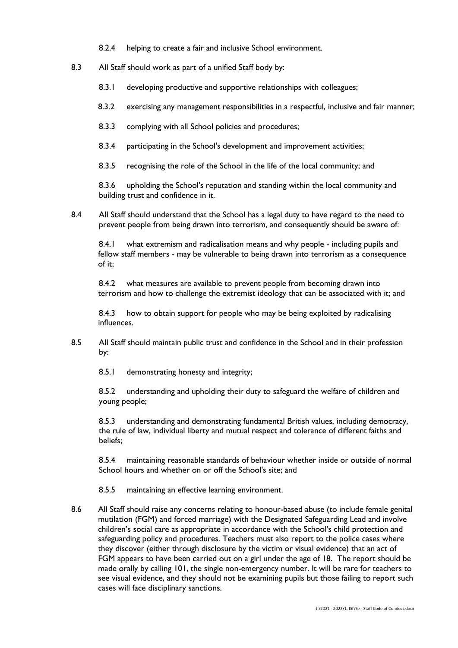- 8.2.4 helping to create a fair and inclusive School environment.
- 8.3 All Staff should work as part of a unified Staff body by:
	- 8.3.1 developing productive and supportive relationships with colleagues;
	- 8.3.2 exercising any management responsibilities in a respectful, inclusive and fair manner;
	- 8.3.3 complying with all School policies and procedures;
	- 8.3.4 participating in the School's development and improvement activities;
	- 8.3.5 recognising the role of the School in the life of the local community; and

8.3.6 upholding the School's reputation and standing within the local community and building trust and confidence in it.

8.4 All Staff should understand that the School has a legal duty to have regard to the need to prevent people from being drawn into terrorism, and consequently should be aware of:

8.4.1 what extremism and radicalisation means and why people - including pupils and fellow staff members - may be vulnerable to being drawn into terrorism as a consequence of it;

8.4.2 what measures are available to prevent people from becoming drawn into terrorism and how to challenge the extremist ideology that can be associated with it; and

8.4.3 how to obtain support for people who may be being exploited by radicalising influences.

- 8.5 All Staff should maintain public trust and confidence in the School and in their profession by:
	- 8.5.1 demonstrating honesty and integrity;

8.5.2 understanding and upholding their duty to safeguard the welfare of children and young people;

8.5.3 understanding and demonstrating fundamental British values, including democracy, the rule of law, individual liberty and mutual respect and tolerance of different faiths and beliefs;

8.5.4 maintaining reasonable standards of behaviour whether inside or outside of normal School hours and whether on or off the School's site; and

8.5.5 maintaining an effective learning environment.

8.6 All Staff should raise any concerns relating to honour-based abuse (to include female genital mutilation (FGM) and forced marriage) with the Designated Safeguarding Lead and involve children's social care as appropriate in accordance with the School's child protection and safeguarding policy and procedures. Teachers must also report to the police cases where they discover (either through disclosure by the victim or visual evidence) that an act of FGM appears to have been carried out on a girl under the age of 18. The report should be made orally by calling 101, the single non-emergency number. It will be rare for teachers to see visual evidence, and they should not be examining pupils but those failing to report such cases will face disciplinary sanctions.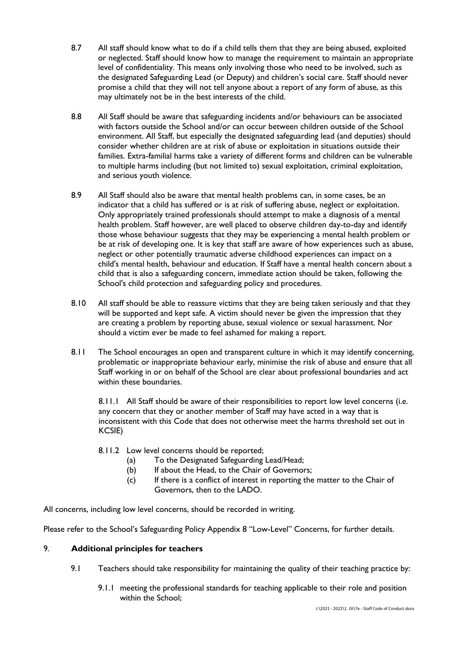- 8.7 All staff should know what to do if a child tells them that they are being abused, exploited or neglected. Staff should know how to manage the requirement to maintain an appropriate level of confidentiality. This means only involving those who need to be involved, such as the designated Safeguarding Lead (or Deputy) and children's social care. Staff should never promise a child that they will not tell anyone about a report of any form of abuse, as this may ultimately not be in the best interests of the child.
- 8.8 All Staff should be aware that safeguarding incidents and/or behaviours can be associated with factors outside the School and/or can occur between children outside of the School environment. All Staff, but especially the designated safeguarding lead (and deputies) should consider whether children are at risk of abuse or exploitation in situations outside their families. Extra-familial harms take a variety of different forms and children can be vulnerable to multiple harms including (but not limited to) sexual exploitation, criminal exploitation, and serious youth violence.
- 8.9 All Staff should also be aware that mental health problems can, in some cases, be an indicator that a child has suffered or is at risk of suffering abuse, neglect or exploitation. Only appropriately trained professionals should attempt to make a diagnosis of a mental health problem. Staff however, are well placed to observe children day-to-day and identify those whose behaviour suggests that they may be experiencing a mental health problem or be at risk of developing one. It is key that staff are aware of how experiences such as abuse, neglect or other potentially traumatic adverse childhood experiences can impact on a child's mental health, behaviour and education. If Staff have a mental health concern about a child that is also a safeguarding concern, immediate action should be taken, following the School's child protection and safeguarding policy and procedures.
- 8.10 All staff should be able to reassure victims that they are being taken seriously and that they will be supported and kept safe. A victim should never be given the impression that they are creating a problem by reporting abuse, sexual violence or sexual harassment. Nor should a victim ever be made to feel ashamed for making a report.
- 8.11 The School encourages an open and transparent culture in which it may identify concerning, problematic or inappropriate behaviour early, minimise the risk of abuse and ensure that all Staff working in or on behalf of the School are clear about professional boundaries and act within these boundaries.

8.11.1 All Staff should be aware of their responsibilities to report low level concerns (i.e. any concern that they or another member of Staff may have acted in a way that is inconsistent with this Code that does not otherwise meet the harms threshold set out in KCSIE)

- 8.11.2 Low level concerns should be reported;
	- (a) To the Designated Safeguarding Lead/Head;
	- (b) If about the Head, to the Chair of Governors;
	- (c) If there is a conflict of interest in reporting the matter to the Chair of Governors, then to the LADO.

All concerns, including low level concerns, should be recorded in writing.

Please refer to the School's Safeguarding Policy Appendix 8 "Low-Level" Concerns, for further details.

### 9. **Additional principles for teachers**

- 9.1 Teachers should take responsibility for maintaining the quality of their teaching practice by:
	- 9.1.1 meeting the professional standards for teaching applicable to their role and position within the School;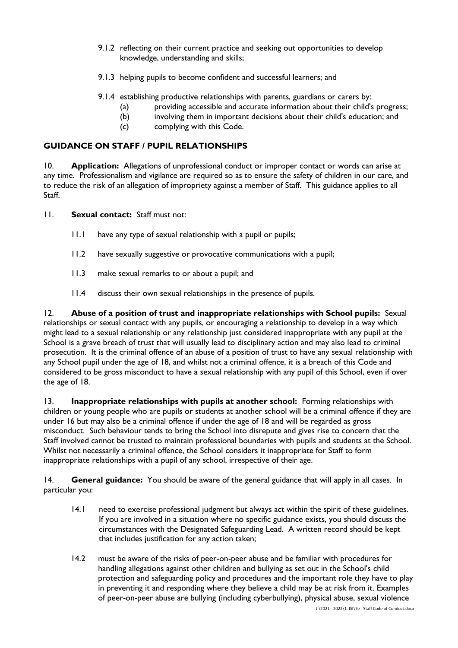- 9.1.2 reflecting on their current practice and seeking out opportunities to develop knowledge, understanding and skills;
- 9.1.3 helping pupils to become confident and successful learners; and
- 9.1.4 establishing productive relationships with parents, guardians or carers by:
	- (a) providing accessible and accurate information about their child's progress;
	- (b) involving them in important decisions about their child's education; and
	- (c) complying with this Code.

## **GUIDANCE ON STAFF / PUPIL RELATIONSHIPS**

10. **Application:** Allegations of unprofessional conduct or improper contact or words can arise at any time. Professionalism and vigilance are required so as to ensure the safety of children in our care, and to reduce the risk of an allegation of impropriety against a member of Staff. This guidance applies to all Staff.

- 11. **Sexual contact:** Staff must not:
	- 11.1 have any type of sexual relationship with a pupil or pupils;
	- 11.2 have sexually suggestive or provocative communications with a pupil;
	- 11.3 make sexual remarks to or about a pupil; and
	- 11.4 discuss their own sexual relationships in the presence of pupils.

12. **Abuse of a position of trust and inappropriate relationships with School pupils:** Sexual relationships or sexual contact with any pupils, or encouraging a relationship to develop in a way which might lead to a sexual relationship or any relationship just considered inappropriate with any pupil at the School is a grave breach of trust that will usually lead to disciplinary action and may also lead to criminal prosecution. It is the criminal offence of an abuse of a position of trust to have any sexual relationship with any School pupil under the age of 18, and whilst not a criminal offence, it is a breach of this Code and considered to be gross misconduct to have a sexual relationship with any pupil of this School, even if over the age of 18.

13. **Inappropriate relationships with pupils at another school:** Forming relationships with children or young people who are pupils or students at another school will be a criminal offence if they are under 16 but may also be a criminal offence if under the age of 18 and will be regarded as gross misconduct. Such behaviour tends to bring the School into disrepute and gives rise to concern that the Staff involved cannot be trusted to maintain professional boundaries with pupils and students at the School. Whilst not necessarily a criminal offence, the School considers it inappropriate for Staff to form inappropriate relationships with a pupil of any school, irrespective of their age.

14. **General guidance:** You should be aware of the general guidance that will apply in all cases. In particular you:

- 14.1 need to exercise professional judgment but always act within the spirit of these guidelines. If you are involved in a situation where no specific guidance exists, you should discuss the circumstances with the Designated Safeguarding Lead. A written record should be kept that includes justification for any action taken;
- 14.2 must be aware of the risks of peer-on-peer abuse and be familiar with procedures for handling allegations against other children and bullying as set out in the School's child protection and safeguarding policy and procedures and the important role they have to play in preventing it and responding where they believe a child may be at risk from it. Examples of peer-on-peer abuse are bullying (including cyberbullying), physical abuse, sexual violence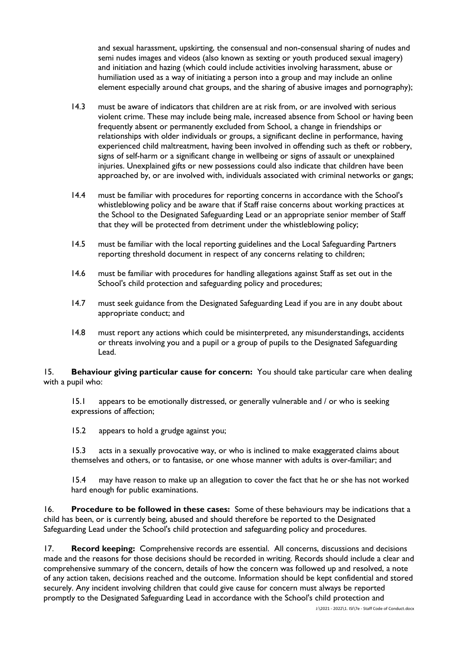and sexual harassment, upskirting, the consensual and non-consensual sharing of nudes and semi nudes images and videos (also known as sexting or youth produced sexual imagery) and initiation and hazing (which could include activities involving harassment, abuse or humiliation used as a way of initiating a person into a group and may include an online element especially around chat groups, and the sharing of abusive images and pornography);

- 14.3 must be aware of indicators that children are at risk from, or are involved with serious violent crime. These may include being male, increased absence from School or having been frequently absent or permanently excluded from School, a change in friendships or relationships with older individuals or groups, a significant decline in performance, having experienced child maltreatment, having been involved in offending such as theft or robbery, signs of self-harm or a significant change in wellbeing or signs of assault or unexplained injuries. Unexplained gifts or new possessions could also indicate that children have been approached by, or are involved with, individuals associated with criminal networks or gangs;
- 14.4 must be familiar with procedures for reporting concerns in accordance with the School's whistleblowing policy and be aware that if Staff raise concerns about working practices at the School to the Designated Safeguarding Lead or an appropriate senior member of Staff that they will be protected from detriment under the whistleblowing policy;
- 14.5 must be familiar with the local reporting guidelines and the Local Safeguarding Partners reporting threshold document in respect of any concerns relating to children;
- 14.6 must be familiar with procedures for handling allegations against Staff as set out in the School's child protection and safeguarding policy and procedures;
- 14.7 must seek guidance from the Designated Safeguarding Lead if you are in any doubt about appropriate conduct; and
- 14.8 must report any actions which could be misinterpreted, any misunderstandings, accidents or threats involving you and a pupil or a group of pupils to the Designated Safeguarding Lead.

15. **Behaviour giving particular cause for concern:** You should take particular care when dealing with a pupil who:

15.1 appears to be emotionally distressed, or generally vulnerable and / or who is seeking expressions of affection;

15.2 appears to hold a grudge against you;

15.3 acts in a sexually provocative way, or who is inclined to make exaggerated claims about themselves and others, or to fantasise, or one whose manner with adults is over-familiar; and

15.4 may have reason to make up an allegation to cover the fact that he or she has not worked hard enough for public examinations.

16. **Procedure to be followed in these cases:** Some of these behaviours may be indications that a child has been, or is currently being, abused and should therefore be reported to the Designated Safeguarding Lead under the School's child protection and safeguarding policy and procedures.

17. **Record keeping:** Comprehensive records are essential. All concerns, discussions and decisions made and the reasons for those decisions should be recorded in writing. Records should include a clear and comprehensive summary of the concern, details of how the concern was followed up and resolved, a note of any action taken, decisions reached and the outcome. Information should be kept confidential and stored securely. Any incident involving children that could give cause for concern must always be reported promptly to the Designated Safeguarding Lead in accordance with the School's child protection and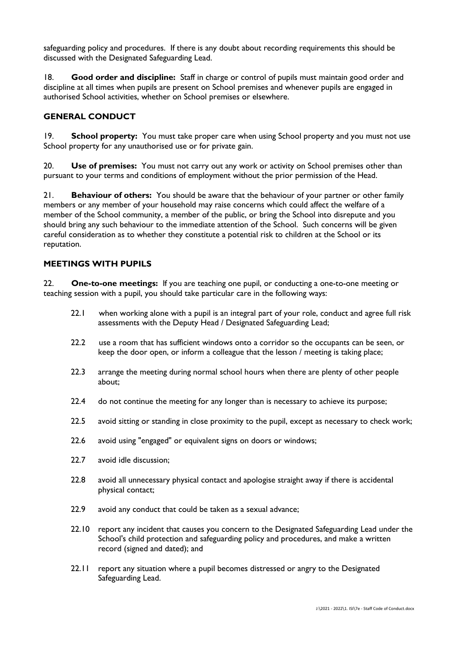safeguarding policy and procedures. If there is any doubt about recording requirements this should be discussed with the Designated Safeguarding Lead.

18. **Good order and discipline:** Staff in charge or control of pupils must maintain good order and discipline at all times when pupils are present on School premises and whenever pupils are engaged in authorised School activities, whether on School premises or elsewhere.

### **GENERAL CONDUCT**

19. **School property:** You must take proper care when using School property and you must not use School property for any unauthorised use or for private gain.

20. **Use of premises:** You must not carry out any work or activity on School premises other than pursuant to your terms and conditions of employment without the prior permission of the Head.

21. **Behaviour of others:** You should be aware that the behaviour of your partner or other family members or any member of your household may raise concerns which could affect the welfare of a member of the School community, a member of the public, or bring the School into disrepute and you should bring any such behaviour to the immediate attention of the School. Such concerns will be given careful consideration as to whether they constitute a potential risk to children at the School or its reputation.

### **MEETINGS WITH PUPILS**

22. **One-to-one meetings:** If you are teaching one pupil, or conducting a one-to-one meeting or teaching session with a pupil, you should take particular care in the following ways:

- 22.1 when working alone with a pupil is an integral part of your role, conduct and agree full risk assessments with the Deputy Head / Designated Safeguarding Lead;
- 22.2 use a room that has sufficient windows onto a corridor so the occupants can be seen, or keep the door open, or inform a colleague that the lesson / meeting is taking place;
- 22.3 arrange the meeting during normal school hours when there are plenty of other people about;
- 22.4 do not continue the meeting for any longer than is necessary to achieve its purpose;
- 22.5 avoid sitting or standing in close proximity to the pupil, except as necessary to check work;
- 22.6 avoid using "engaged" or equivalent signs on doors or windows;
- 22.7 avoid idle discussion:
- 22.8 avoid all unnecessary physical contact and apologise straight away if there is accidental physical contact;
- 22.9 avoid any conduct that could be taken as a sexual advance;
- 22.10 report any incident that causes you concern to the Designated Safeguarding Lead under the School's child protection and safeguarding policy and procedures, and make a written record (signed and dated); and
- 22.11 report any situation where a pupil becomes distressed or angry to the Designated Safeguarding Lead.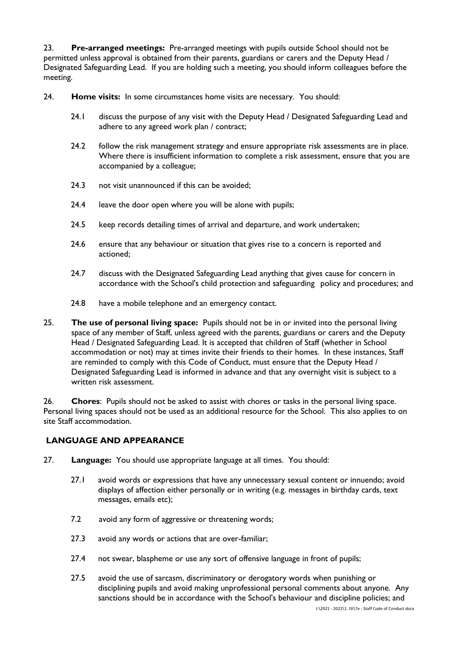23. **Pre-arranged meetings:** Pre-arranged meetings with pupils outside School should not be permitted unless approval is obtained from their parents, guardians or carers and the Deputy Head / Designated Safeguarding Lead. If you are holding such a meeting, you should inform colleagues before the meeting.

24. **Home visits:** In some circumstances home visits are necessary. You should:

- 24.1 discuss the purpose of any visit with the Deputy Head / Designated Safeguarding Lead and adhere to any agreed work plan / contract;
- 24.2 follow the risk management strategy and ensure appropriate risk assessments are in place. Where there is insufficient information to complete a risk assessment, ensure that you are accompanied by a colleague;
- 24.3 not visit unannounced if this can be avoided;
- 24.4 leave the door open where you will be alone with pupils;
- 24.5 keep records detailing times of arrival and departure, and work undertaken;
- 24.6 ensure that any behaviour or situation that gives rise to a concern is reported and actioned;
- 24.7 discuss with the Designated Safeguarding Lead anything that gives cause for concern in accordance with the School's child protection and safeguarding policy and procedures; and
- 24.8 have a mobile telephone and an emergency contact.
- 25. **The use of personal living space:** Pupils should not be in or invited into the personal living space of any member of Staff, unless agreed with the parents, guardians or carers and the Deputy Head / Designated Safeguarding Lead. It is accepted that children of Staff (whether in School accommodation or not) may at times invite their friends to their homes. In these instances, Staff are reminded to comply with this Code of Conduct, must ensure that the Deputy Head / Designated Safeguarding Lead is informed in advance and that any overnight visit is subject to a written risk assessment.

26. **Chores**: Pupils should not be asked to assist with chores or tasks in the personal living space. Personal living spaces should not be used as an additional resource for the School. This also applies to on site Staff accommodation.

### **LANGUAGE AND APPEARANCE**

- 27. **Language:** You should use appropriate language at all times. You should:
	- 27.1 avoid words or expressions that have any unnecessary sexual content or innuendo; avoid displays of affection either personally or in writing (e.g. messages in birthday cards, text messages, emails etc);
	- 7.2 avoid any form of aggressive or threatening words;
	- 27.3 avoid any words or actions that are over-familiar;
	- 27.4 not swear, blaspheme or use any sort of offensive language in front of pupils;
	- 27.5 avoid the use of sarcasm, discriminatory or derogatory words when punishing or disciplining pupils and avoid making unprofessional personal comments about anyone. Any sanctions should be in accordance with the School's behaviour and discipline policies; and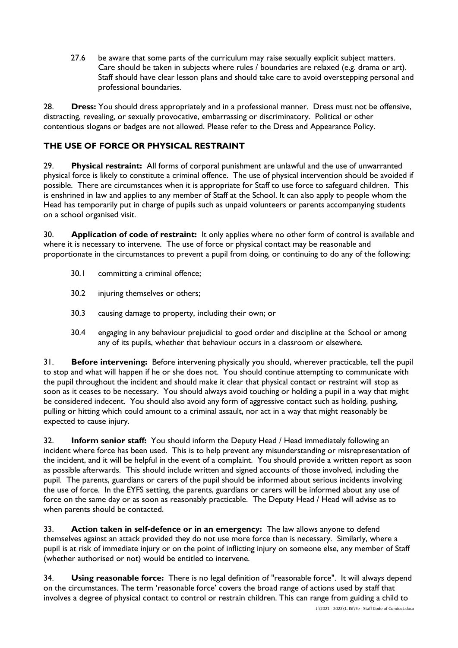27.6 be aware that some parts of the curriculum may raise sexually explicit subject matters. Care should be taken in subjects where rules / boundaries are relaxed (e.g. drama or art). Staff should have clear lesson plans and should take care to avoid overstepping personal and professional boundaries.

28. **Dress:** You should dress appropriately and in a professional manner. Dress must not be offensive, distracting, revealing, or sexually provocative, embarrassing or discriminatory. Political or other contentious slogans or badges are not allowed. Please refer to the Dress and Appearance Policy.

# **THE USE OF FORCE OR PHYSICAL RESTRAINT**

29. **Physical restraint:** All forms of corporal punishment are unlawful and the use of unwarranted physical force is likely to constitute a criminal offence. The use of physical intervention should be avoided if possible. There are circumstances when it is appropriate for Staff to use force to safeguard children. This is enshrined in law and applies to any member of Staff at the School. It can also apply to people whom the Head has temporarily put in charge of pupils such as unpaid volunteers or parents accompanying students on a school organised visit.

30. **Application of code of restraint:** It only applies where no other form of control is available and where it is necessary to intervene. The use of force or physical contact may be reasonable and proportionate in the circumstances to prevent a pupil from doing, or continuing to do any of the following:

- 30.1 committing a criminal offence;
- 30.2 injuring themselves or others;
- 30.3 causing damage to property, including their own; or
- 30.4 engaging in any behaviour prejudicial to good order and discipline at the School or among any of its pupils, whether that behaviour occurs in a classroom or elsewhere.

31. **Before intervening:** Before intervening physically you should, wherever practicable, tell the pupil to stop and what will happen if he or she does not. You should continue attempting to communicate with the pupil throughout the incident and should make it clear that physical contact or restraint will stop as soon as it ceases to be necessary. You should always avoid touching or holding a pupil in a way that might be considered indecent. You should also avoid any form of aggressive contact such as holding, pushing, pulling or hitting which could amount to a criminal assault, nor act in a way that might reasonably be expected to cause injury.

32. **Inform senior staff:** You should inform the Deputy Head / Head immediately following an incident where force has been used. This is to help prevent any misunderstanding or misrepresentation of the incident, and it will be helpful in the event of a complaint. You should provide a written report as soon as possible afterwards. This should include written and signed accounts of those involved, including the pupil. The parents, guardians or carers of the pupil should be informed about serious incidents involving the use of force. In the EYFS setting, the parents, guardians or carers will be informed about any use of force on the same day or as soon as reasonably practicable. The Deputy Head / Head will advise as to when parents should be contacted.

33. **Action taken in self-defence or in an emergency:** The law allows anyone to defend themselves against an attack provided they do not use more force than is necessary. Similarly, where a pupil is at risk of immediate injury or on the point of inflicting injury on someone else, any member of Staff (whether authorised or not) would be entitled to intervene.

34. **Using reasonable force:** There is no legal definition of "reasonable force". It will always depend on the circumstances. The term 'reasonable force' covers the broad range of actions used by staff that involves a degree of physical contact to control or restrain children. This can range from guiding a child to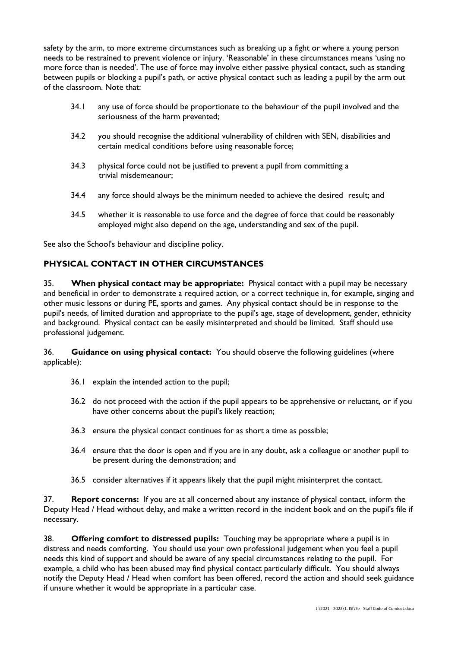safety by the arm, to more extreme circumstances such as breaking up a fight or where a young person needs to be restrained to prevent violence or injury. 'Reasonable' in these circumstances means 'using no more force than is needed'. The use of force may involve either passive physical contact, such as standing between pupils or blocking a pupil's path, or active physical contact such as leading a pupil by the arm out of the classroom. Note that:

- 34.1 any use of force should be proportionate to the behaviour of the pupil involved and the seriousness of the harm prevented;
- 34.2 you should recognise the additional vulnerability of children with SEN, disabilities and certain medical conditions before using reasonable force;
- 34.3 physical force could not be justified to prevent a pupil from committing a trivial misdemeanour;
- 34.4 any force should always be the minimum needed to achieve the desired result; and
- 34.5 whether it is reasonable to use force and the degree of force that could be reasonably employed might also depend on the age, understanding and sex of the pupil.

See also the School's behaviour and discipline policy.

## **PHYSICAL CONTACT IN OTHER CIRCUMSTANCES**

35. **When physical contact may be appropriate:** Physical contact with a pupil may be necessary and beneficial in order to demonstrate a required action, or a correct technique in, for example, singing and other music lessons or during PE, sports and games. Any physical contact should be in response to the pupil's needs, of limited duration and appropriate to the pupil's age, stage of development, gender, ethnicity and background. Physical contact can be easily misinterpreted and should be limited. Staff should use professional judgement.

36. **Guidance on using physical contact:** You should observe the following guidelines (where applicable):

- 36.1 explain the intended action to the pupil;
- 36.2 do not proceed with the action if the pupil appears to be apprehensive or reluctant, or if you have other concerns about the pupil's likely reaction;
- 36.3 ensure the physical contact continues for as short a time as possible;
- 36.4 ensure that the door is open and if you are in any doubt, ask a colleague or another pupil to be present during the demonstration; and
- 36.5 consider alternatives if it appears likely that the pupil might misinterpret the contact.

37. **Report concerns:** If you are at all concerned about any instance of physical contact, inform the Deputy Head / Head without delay, and make a written record in the incident book and on the pupil's file if necessary.

38. **Offering comfort to distressed pupils:** Touching may be appropriate where a pupil is in distress and needs comforting. You should use your own professional judgement when you feel a pupil needs this kind of support and should be aware of any special circumstances relating to the pupil. For example, a child who has been abused may find physical contact particularly difficult. You should always notify the Deputy Head / Head when comfort has been offered, record the action and should seek guidance if unsure whether it would be appropriate in a particular case.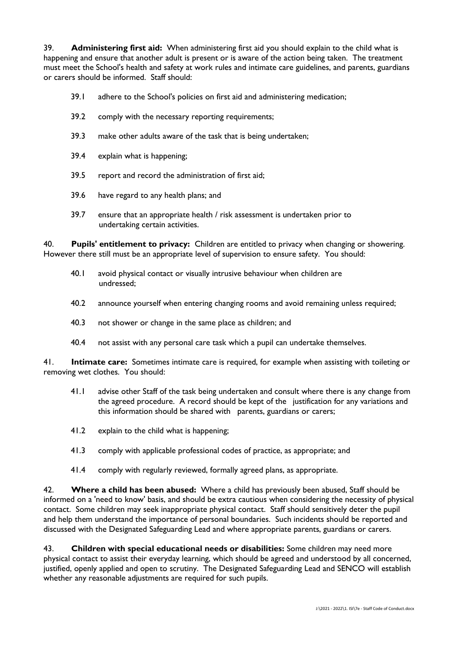39. **Administering first aid:** When administering first aid you should explain to the child what is happening and ensure that another adult is present or is aware of the action being taken. The treatment must meet the School's health and safety at work rules and intimate care guidelines, and parents, guardians or carers should be informed. Staff should:

- 39.1 adhere to the School's policies on first aid and administering medication;
- 39.2 comply with the necessary reporting requirements;
- 39.3 make other adults aware of the task that is being undertaken;
- 39.4 explain what is happening;
- 39.5 report and record the administration of first aid;
- 39.6 have regard to any health plans; and
- 39.7 ensure that an appropriate health / risk assessment is undertaken prior to undertaking certain activities.

40. **Pupils' entitlement to privacy:** Children are entitled to privacy when changing or showering. However there still must be an appropriate level of supervision to ensure safety. You should:

- 40.1 avoid physical contact or visually intrusive behaviour when children are undressed;
- 40.2 announce yourself when entering changing rooms and avoid remaining unless required;
- 40.3 not shower or change in the same place as children; and
- 40.4 not assist with any personal care task which a pupil can undertake themselves.

41. **Intimate care:** Sometimes intimate care is required, for example when assisting with toileting or removing wet clothes. You should:

- 41.1 advise other Staff of the task being undertaken and consult where there is any change from the agreed procedure. A record should be kept of the justification for any variations and this information should be shared with parents, guardians or carers;
- 41.2 explain to the child what is happening;
- 41.3 comply with applicable professional codes of practice, as appropriate; and
- 41.4 comply with regularly reviewed, formally agreed plans, as appropriate.

42. **Where a child has been abused:** Where a child has previously been abused, Staff should be informed on a 'need to know' basis, and should be extra cautious when considering the necessity of physical contact. Some children may seek inappropriate physical contact. Staff should sensitively deter the pupil and help them understand the importance of personal boundaries. Such incidents should be reported and discussed with the Designated Safeguarding Lead and where appropriate parents, guardians or carers.

43. **Children with special educational needs or disabilities:** Some children may need more physical contact to assist their everyday learning, which should be agreed and understood by all concerned, justified, openly applied and open to scrutiny. The Designated Safeguarding Lead and SENCO will establish whether any reasonable adjustments are required for such pupils.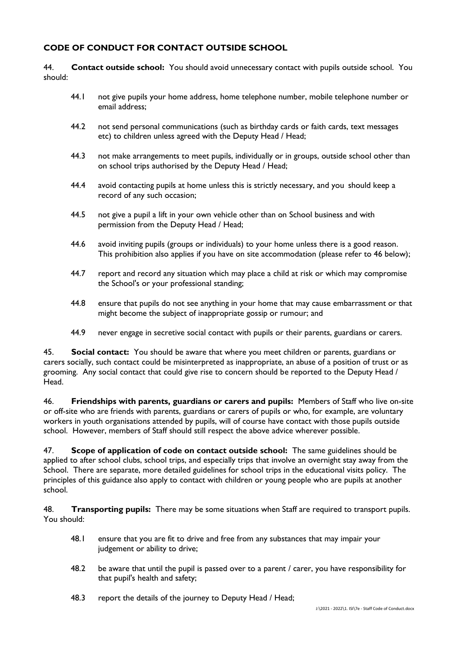### **CODE OF CONDUCT FOR CONTACT OUTSIDE SCHOOL**

44. **Contact outside school:** You should avoid unnecessary contact with pupils outside school. You should:

- 44.1 not give pupils your home address, home telephone number, mobile telephone number or email address;
- 44.2 not send personal communications (such as birthday cards or faith cards, text messages etc) to children unless agreed with the Deputy Head / Head;
- 44.3 not make arrangements to meet pupils, individually or in groups, outside school other than on school trips authorised by the Deputy Head / Head;
- 44.4 avoid contacting pupils at home unless this is strictly necessary, and you should keep a record of any such occasion;
- 44.5 not give a pupil a lift in your own vehicle other than on School business and with permission from the Deputy Head / Head;
- 44.6 avoid inviting pupils (groups or individuals) to your home unless there is a good reason. This prohibition also applies if you have on site accommodation (please refer to 46 below);
- 44.7 report and record any situation which may place a child at risk or which may compromise the School's or your professional standing;
- 44.8 ensure that pupils do not see anything in your home that may cause embarrassment or that might become the subject of inappropriate gossip or rumour; and
- 44.9 never engage in secretive social contact with pupils or their parents, guardians or carers.

45. **Social contact:** You should be aware that where you meet children or parents, guardians or carers socially, such contact could be misinterpreted as inappropriate, an abuse of a position of trust or as grooming. Any social contact that could give rise to concern should be reported to the Deputy Head / Head.

46. **Friendships with parents, guardians or carers and pupils:** Members of Staff who live on-site or off-site who are friends with parents, guardians or carers of pupils or who, for example, are voluntary workers in youth organisations attended by pupils, will of course have contact with those pupils outside school. However, members of Staff should still respect the above advice wherever possible.

47. **Scope of application of code on contact outside school:** The same guidelines should be applied to after school clubs, school trips, and especially trips that involve an overnight stay away from the School. There are separate, more detailed guidelines for school trips in the educational visits policy. The principles of this guidance also apply to contact with children or young people who are pupils at another school.

48. **Transporting pupils:** There may be some situations when Staff are required to transport pupils. You should:

- 48.1 ensure that you are fit to drive and free from any substances that may impair your judgement or ability to drive;
- 48.2 be aware that until the pupil is passed over to a parent / carer, you have responsibility for that pupil's health and safety;
- 48.3 report the details of the journey to Deputy Head / Head;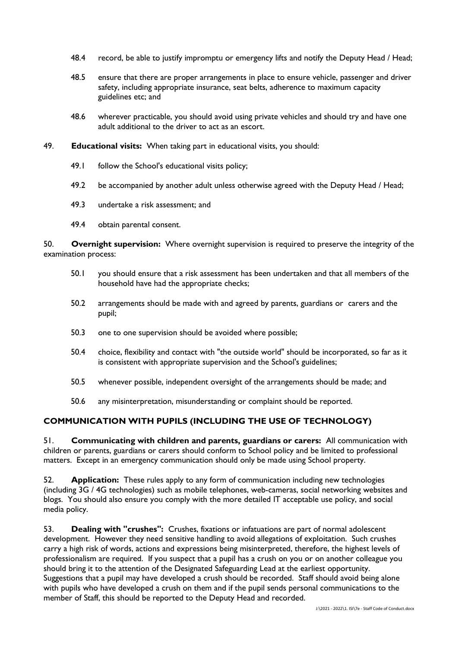- 48.4 record, be able to justify impromptu or emergency lifts and notify the Deputy Head / Head;
- 48.5 ensure that there are proper arrangements in place to ensure vehicle, passenger and driver safety, including appropriate insurance, seat belts, adherence to maximum capacity guidelines etc; and
- 48.6 wherever practicable, you should avoid using private vehicles and should try and have one adult additional to the driver to act as an escort.
- 49. **Educational visits:** When taking part in educational visits, you should:
	- 49.1 follow the School's educational visits policy;
	- 49.2 be accompanied by another adult unless otherwise agreed with the Deputy Head / Head;
	- 49.3 undertake a risk assessment; and
	- 49.4 obtain parental consent.

50. **Overnight supervision:** Where overnight supervision is required to preserve the integrity of the examination process:

- 50.1 you should ensure that a risk assessment has been undertaken and that all members of the household have had the appropriate checks;
- 50.2 arrangements should be made with and agreed by parents, guardians or carers and the pupil;
- 50.3 one to one supervision should be avoided where possible;
- 50.4 choice, flexibility and contact with "the outside world" should be incorporated, so far as it is consistent with appropriate supervision and the School's guidelines;
- 50.5 whenever possible, independent oversight of the arrangements should be made; and
- 50.6 any misinterpretation, misunderstanding or complaint should be reported.

### **COMMUNICATION WITH PUPILS (INCLUDING THE USE OF TECHNOLOGY)**

51. **Communicating with children and parents, guardians or carers:** All communication with children or parents, guardians or carers should conform to School policy and be limited to professional matters. Except in an emergency communication should only be made using School property.

52. **Application:** These rules apply to any form of communication including new technologies (including 3G / 4G technologies) such as mobile telephones, web-cameras, social networking websites and blogs. You should also ensure you comply with the more detailed IT acceptable use policy, and social media policy.

53. **Dealing with "crushes":** Crushes, fixations or infatuations are part of normal adolescent development. However they need sensitive handling to avoid allegations of exploitation. Such crushes carry a high risk of words, actions and expressions being misinterpreted, therefore, the highest levels of professionalism are required. If you suspect that a pupil has a crush on you or on another colleague you should bring it to the attention of the Designated Safeguarding Lead at the earliest opportunity. Suggestions that a pupil may have developed a crush should be recorded. Staff should avoid being alone with pupils who have developed a crush on them and if the pupil sends personal communications to the member of Staff, this should be reported to the Deputy Head and recorded.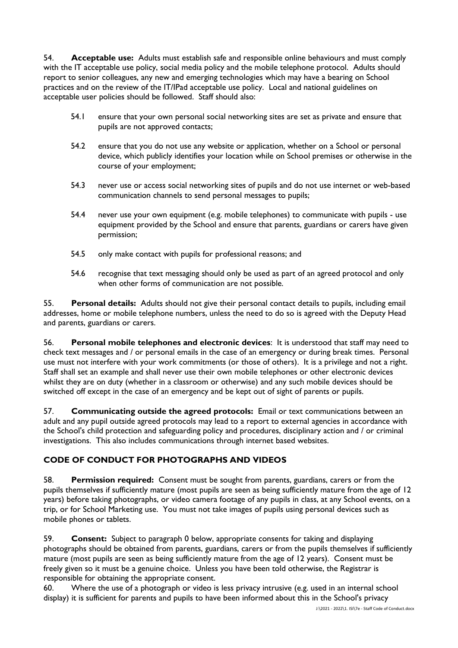54. **Acceptable use:** Adults must establish safe and responsible online behaviours and must comply with the IT acceptable use policy, social media policy and the mobile telephone protocol. Adults should report to senior colleagues, any new and emerging technologies which may have a bearing on School practices and on the review of the IT/IPad acceptable use policy. Local and national guidelines on acceptable user policies should be followed. Staff should also:

- 54.1 ensure that your own personal social networking sites are set as private and ensure that pupils are not approved contacts;
- 54.2 ensure that you do not use any website or application, whether on a School or personal device, which publicly identifies your location while on School premises or otherwise in the course of your employment;
- 54.3 never use or access social networking sites of pupils and do not use internet or web-based communication channels to send personal messages to pupils;
- 54.4 never use your own equipment (e.g. mobile telephones) to communicate with pupils use equipment provided by the School and ensure that parents, guardians or carers have given permission;
- 54.5 only make contact with pupils for professional reasons; and
- 54.6 recognise that text messaging should only be used as part of an agreed protocol and only when other forms of communication are not possible.

55. **Personal details:** Adults should not give their personal contact details to pupils, including email addresses, home or mobile telephone numbers, unless the need to do so is agreed with the Deputy Head and parents, guardians or carers.

56. **Personal mobile telephones and electronic devices**: It is understood that staff may need to check text messages and / or personal emails in the case of an emergency or during break times. Personal use must not interfere with your work commitments (or those of others). It is a privilege and not a right. Staff shall set an example and shall never use their own mobile telephones or other electronic devices whilst they are on duty (whether in a classroom or otherwise) and any such mobile devices should be switched off except in the case of an emergency and be kept out of sight of parents or pupils.

57. **Communicating outside the agreed protocols:** Email or text communications between an adult and any pupil outside agreed protocols may lead to a report to external agencies in accordance with the School's child protection and safeguarding policy and procedures, disciplinary action and / or criminal investigations. This also includes communications through internet based websites.

# **CODE OF CONDUCT FOR PHOTOGRAPHS AND VIDEOS**

58. **Permission required:** Consent must be sought from parents, guardians, carers or from the pupils themselves if sufficiently mature (most pupils are seen as being sufficiently mature from the age of 12 years) before taking photographs, or video camera footage of any pupils in class, at any School events, on a trip, or for School Marketing use. You must not take images of pupils using personal devices such as mobile phones or tablets.

59. **Consent:** Subject to paragraph [0](#page-14-0) below, appropriate consents for taking and displaying photographs should be obtained from parents, guardians, carers or from the pupils themselves if sufficiently mature (most pupils are seen as being sufficiently mature from the age of 12 years). Consent must be freely given so it must be a genuine choice. Unless you have been told otherwise, the Registrar is responsible for obtaining the appropriate consent.

60. Where the use of a photograph or video is less privacy intrusive (e.g. used in an internal school display) it is sufficient for parents and pupils to have been informed about this in the School's privacy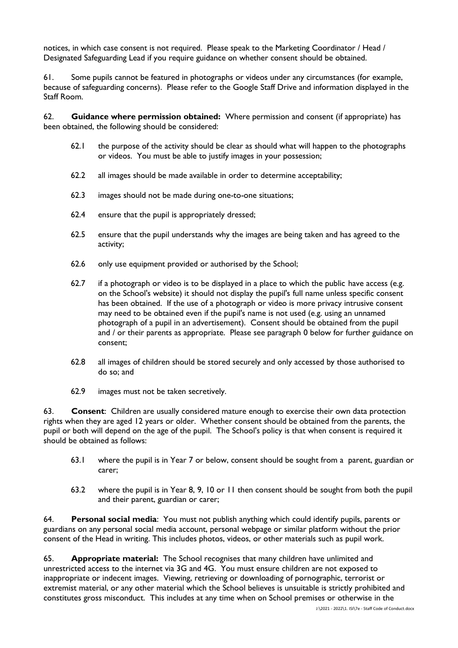notices, in which case consent is not required. Please speak to the Marketing Coordinator / Head / Designated Safeguarding Lead if you require guidance on whether consent should be obtained.

61. Some pupils cannot be featured in photographs or videos under any circumstances (for example, because of safeguarding concerns). Please refer to the Google Staff Drive and information displayed in the Staff Room.

<span id="page-14-0"></span>62. **Guidance where permission obtained:** Where permission and consent (if appropriate) has been obtained, the following should be considered:

- 62.1 the purpose of the activity should be clear as should what will happen to the photographs or videos. You must be able to justify images in your possession;
- 62.2 all images should be made available in order to determine acceptability;
- 62.3 images should not be made during one-to-one situations;
- 62.4 ensure that the pupil is appropriately dressed;
- 62.5 ensure that the pupil understands why the images are being taken and has agreed to the activity;
- 62.6 only use equipment provided or authorised by the School;
- 62.7 if a photograph or video is to be displayed in a place to which the public have access (e.g. on the School's website) it should not display the pupil's full name unless specific consent has been obtained. If the use of a photograph or video is more privacy intrusive consent may need to be obtained even if the pupil's name is not used (e.g. using an unnamed photograph of a pupil in an advertisement). Consent should be obtained from the pupil and / or their parents as appropriate. Please see paragraph [0](#page-14-1) below for further guidance on consent;
- 62.8 all images of children should be stored securely and only accessed by those authorised to do so; and
- 62.9 images must not be taken secretively.

<span id="page-14-1"></span>63. **Consent**: Children are usually considered mature enough to exercise their own data protection rights when they are aged 12 years or older. Whether consent should be obtained from the parents, the pupil or both will depend on the age of the pupil. The School's policy is that when consent is required it should be obtained as follows:

- 63.1 where the pupil is in Year 7 or below, consent should be sought from a parent, guardian or carer;
- 63.2 where the pupil is in Year 8, 9, 10 or 11 then consent should be sought from both the pupil and their parent, guardian or carer;

64. **Personal social media**: You must not publish anything which could identify pupils, parents or guardians on any personal social media account, personal webpage or similar platform without the prior consent of the Head in writing. This includes photos, videos, or other materials such as pupil work.

65. **Appropriate material:** The School recognises that many children have unlimited and unrestricted access to the internet via 3G and 4G. You must ensure children are not exposed to inappropriate or indecent images. Viewing, retrieving or downloading of pornographic, terrorist or extremist material, or any other material which the School believes is unsuitable is strictly prohibited and constitutes gross misconduct. This includes at any time when on School premises or otherwise in the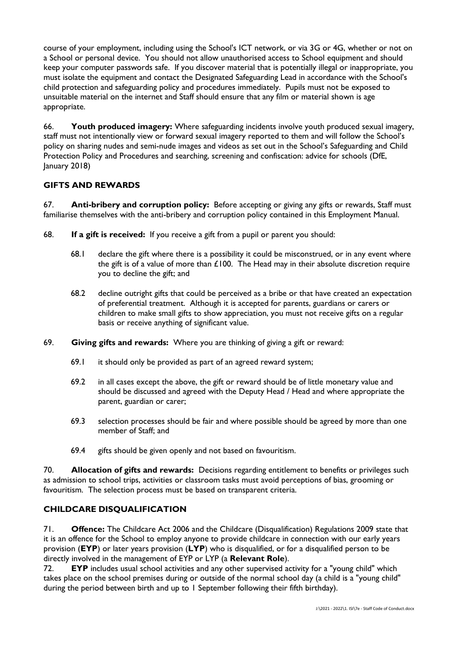course of your employment, including using the School's ICT network, or via 3G or 4G, whether or not on a School or personal device. You should not allow unauthorised access to School equipment and should keep your computer passwords safe. If you discover material that is potentially illegal or inappropriate, you must isolate the equipment and contact the Designated Safeguarding Lead in accordance with the School's child protection and safeguarding policy and procedures immediately. Pupils must not be exposed to unsuitable material on the internet and Staff should ensure that any film or material shown is age appropriate.

66. **Youth produced imagery:** Where safeguarding incidents involve youth produced sexual imagery, staff must not intentionally view or forward sexual imagery reported to them and will follow the School's policy on sharing nudes and semi-nude images and videos as set out in the School's Safeguarding and Child Protection Policy and Procedures and searching, screening and confiscation: advice for schools (DfE, January 2018)

# **GIFTS AND REWARDS**

67. **Anti-bribery and corruption policy:** Before accepting or giving any gifts or rewards, Staff must familiarise themselves with the anti-bribery and corruption policy contained in this Employment Manual.

- 68. **If a gift is received:** If you receive a gift from a pupil or parent you should:
	- 68.1 declare the gift where there is a possibility it could be misconstrued, or in any event where the gift is of a value of more than  $£100$ . The Head may in their absolute discretion require you to decline the gift; and
	- 68.2 decline outright gifts that could be perceived as a bribe or that have created an expectation of preferential treatment. Although it is accepted for parents, guardians or carers or children to make small gifts to show appreciation, you must not receive gifts on a regular basis or receive anything of significant value.
- 69. **Giving gifts and rewards:** Where you are thinking of giving a gift or reward:
	- 69.1 it should only be provided as part of an agreed reward system;
	- 69.2 in all cases except the above, the gift or reward should be of little monetary value and should be discussed and agreed with the Deputy Head / Head and where appropriate the parent, guardian or carer;
	- 69.3 selection processes should be fair and where possible should be agreed by more than one member of Staff; and
	- 69.4 gifts should be given openly and not based on favouritism.

70. **Allocation of gifts and rewards:** Decisions regarding entitlement to benefits or privileges such as admission to school trips, activities or classroom tasks must avoid perceptions of bias, grooming or favouritism. The selection process must be based on transparent criteria.

### **CHILDCARE DISQUALIFICATION**

71. **Offence:** The Childcare Act 2006 and the Childcare (Disqualification) Regulations 2009 state that it is an offence for the School to employ anyone to provide childcare in connection with our early years provision (**EYP**) or later years provision (**LYP**) who is disqualified, or for a disqualified person to be directly involved in the management of EYP or LYP (a **Relevant Role**).

72. **EYP** includes usual school activities and any other supervised activity for a "young child" which takes place on the school premises during or outside of the normal school day (a child is a "young child" during the period between birth and up to 1 September following their fifth birthday).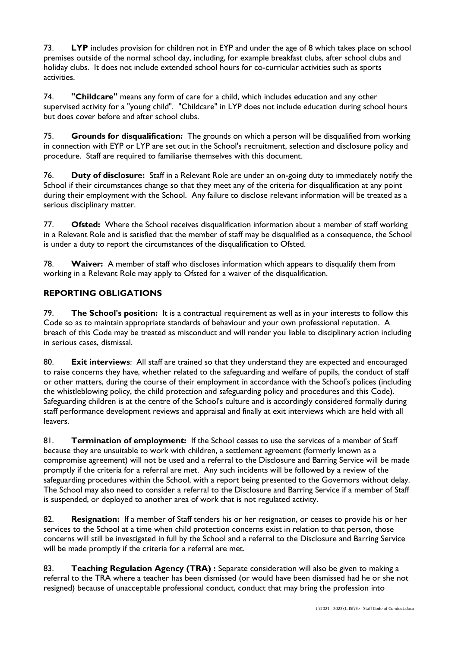73. **LYP** includes provision for children not in EYP and under the age of 8 which takes place on school premises outside of the normal school day, including, for example breakfast clubs, after school clubs and holiday clubs. It does not include extended school hours for co-curricular activities such as sports activities.

74. **"Childcare"** means any form of care for a child, which includes education and any other supervised activity for a "young child". "Childcare" in LYP does not include education during school hours but does cover before and after school clubs.

75. **Grounds for disqualification:** The grounds on which a person will be disqualified from working in connection with EYP or LYP are set out in the School's recruitment, selection and disclosure policy and procedure. Staff are required to familiarise themselves with this document.

76. **Duty of disclosure:** Staff in a Relevant Role are under an on-going duty to immediately notify the School if their circumstances change so that they meet any of the criteria for disqualification at any point during their employment with the School. Any failure to disclose relevant information will be treated as a serious disciplinary matter.

77. **Ofsted:** Where the School receives disqualification information about a member of staff working in a Relevant Role and is satisfied that the member of staff may be disqualified as a consequence, the School is under a duty to report the circumstances of the disqualification to Ofsted.

78. **Waiver:** A member of staff who discloses information which appears to disqualify them from working in a Relevant Role may apply to Ofsted for a waiver of the disqualification.

# **REPORTING OBLIGATIONS**

79. **The School's position:** It is a contractual requirement as well as in your interests to follow this Code so as to maintain appropriate standards of behaviour and your own professional reputation. A breach of this Code may be treated as misconduct and will render you liable to disciplinary action including in serious cases, dismissal.

80. **Exit interviews**: All staff are trained so that they understand they are expected and encouraged to raise concerns they have, whether related to the safeguarding and welfare of pupils, the conduct of staff or other matters, during the course of their employment in accordance with the School's polices (including the whistleblowing policy, the child protection and safeguarding policy and procedures and this Code). Safeguarding children is at the centre of the School's culture and is accordingly considered formally during staff performance development reviews and appraisal and finally at exit interviews which are held with all leavers.

81. **Termination of employment:** If the School ceases to use the services of a member of Staff because they are unsuitable to work with children, a settlement agreement (formerly known as a compromise agreement) will not be used and a referral to the Disclosure and Barring Service will be made promptly if the criteria for a referral are met. Any such incidents will be followed by a review of the safeguarding procedures within the School, with a report being presented to the Governors without delay. The School may also need to consider a referral to the Disclosure and Barring Service if a member of Staff is suspended, or deployed to another area of work that is not regulated activity.

82. **Resignation:** If a member of Staff tenders his or her resignation, or ceases to provide his or her services to the School at a time when child protection concerns exist in relation to that person, those concerns will still be investigated in full by the School and a referral to the Disclosure and Barring Service will be made promptly if the criteria for a referral are met.

83. **Teaching Regulation Agency (TRA) :** Separate consideration will also be given to making a referral to the TRA where a teacher has been dismissed (or would have been dismissed had he or she not resigned) because of unacceptable professional conduct, conduct that may bring the profession into